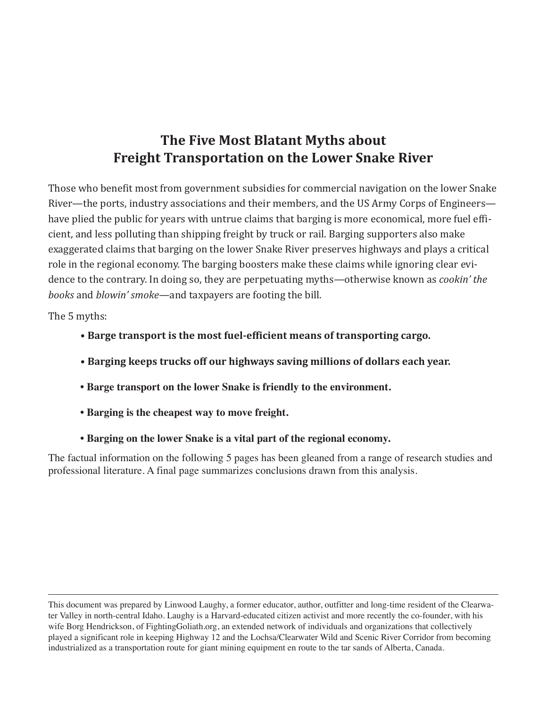# **The Five Most Blatant Myths about Freight Transportation on the Lower Snake River**

Those who benefit most from government subsidies for commercial navigation on the lower Snake River—the ports, industry associations and their members, and the US Army Corps of Engineers have plied the public for years with untrue claims that barging is more economical, more fuel efficient, and less polluting than shipping freight by truck or rail. Barging supporters also make exaggerated claims that barging on the lower Snake River preserves highways and plays a critical role in the regional economy. The barging boosters make these claims while ignoring clear evidence to the contrary. In doing so, they are perpetuating myths—otherwise known as *cookin' the books* and *blowin' smoke*—and taxpayers are footing the bill.

The 5 myths:

- **Barge transport is the most fuel-efficient means of transporting cargo.**
- **Barging keeps trucks off our highways saving millions of dollars each year.**
- **Barge transport on the lower Snake is friendly to the environment.**
- **Barging is the cheapest way to move freight.**
- **Barging on the lower Snake is a vital part of the regional economy.**

The factual information on the following 5 pages has been gleaned from a range of research studies and professional literature. A final page summarizes conclusions drawn from this analysis.

This document was prepared by Linwood Laughy, a former educator, author, outfitter and long-time resident of the Clearwater Valley in north-central Idaho. Laughy is a Harvard-educated citizen activist and more recently the co-founder, with his wife Borg Hendrickson, of FightingGoliath.org, an extended network of individuals and organizations that collectively played a significant role in keeping Highway 12 and the Lochsa/Clearwater Wild and Scenic River Corridor from becoming industrialized as a transportation route for giant mining equipment en route to the tar sands of Alberta, Canada.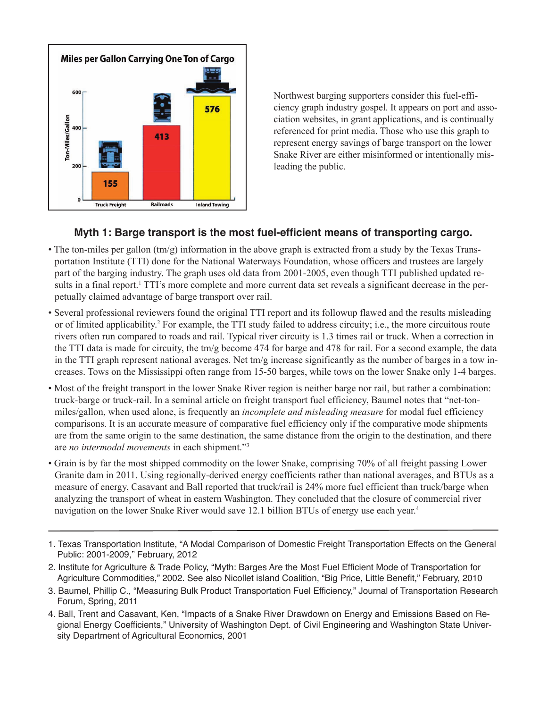

Northwest barging supporters consider this fuel-efficiency graph industry gospel. It appears on port and association websites, in grant applications, and is continually referenced for print media. Those who use this graph to represent energy savings of barge transport on the lower Snake River are either misinformed or intentionally misleading the public.

#### **Myth 1: Barge transport is the most fuel-efficient means of transporting cargo.**

- The ton-miles per gallon  $(tm/g)$  information in the above graph is extracted from a study by the Texas Transportation Institute (TTI) done for the National Waterways Foundation, whose officers and trustees are largely part of the barging industry. The graph uses old data from 2001-2005, even though TTI published updated results in a final report.<sup>1</sup> TTI's more complete and more current data set reveals a significant decrease in the perpetually claimed advantage of barge transport over rail.
- Several professional reviewers found the original TTI report and its followup flawed and the results misleading or of limited applicability.2 For example, the TTI study failed to address circuity; i.e., the more circuitous route rivers often run compared to roads and rail. Typical river circuity is 1.3 times rail or truck. When a correction in the TTI data is made for circuity, the tm/g become 474 for barge and 478 for rail. For a second example, the data in the TTI graph represent national averages. Net tm/g increase significantly as the number of barges in a tow increases. Tows on the Mississippi often range from 15-50 barges, while tows on the lower Snake only 1-4 barges.
- Most of the freight transport in the lower Snake River region is neither barge nor rail, but rather a combination: truck-barge or truck-rail. In a seminal article on freight transport fuel efficiency, Baumel notes that "net-tonmiles/gallon, when used alone, is frequently an *incomplete and misleading measure* for modal fuel efficiency comparisons. It is an accurate measure of comparative fuel efficiency only if the comparative mode shipments are from the same origin to the same destination, the same distance from the origin to the destination, and there are *no intermodal movements* in each shipment."3
- Grain is by far the most shipped commodity on the lower Snake, comprising 70% of all freight passing Lower Granite dam in 2011. Using regionally-derived energy coefficients rather than national averages, and BTUs as a measure of energy, Casavant and Ball reported that truck/rail is 24% more fuel efficient than truck/barge when analyzing the transport of wheat in eastern Washington. They concluded that the closure of commercial river navigation on the lower Snake River would save 12.1 billion BTUs of energy use each year.<sup>4</sup>
- 1. Texas Transportation Institute, "A Modal Comparison of Domestic Freight Transportation Effects on the General Public: 2001-2009," February, 2012
- 2. Institute for Agriculture & Trade Policy, "Myth: Barges Are the Most Fuel Efficient Mode of Transportation for Agriculture Commodities," 2002. See also Nicollet island Coalition, "Big Price, Little Benefit," February, 2010
- 3. Baumel, Phillip C., "Measuring Bulk Product Transportation Fuel Efficiency," Journal of Transportation Research Forum, Spring, 2011
- 4. Ball, Trent and Casavant, Ken, "Impacts of a Snake River Drawdown on Energy and Emissions Based on Regional Energy Coefficients," University of Washington Dept. of Civil Engineering and Washington State University Department of Agricultural Economics, 2001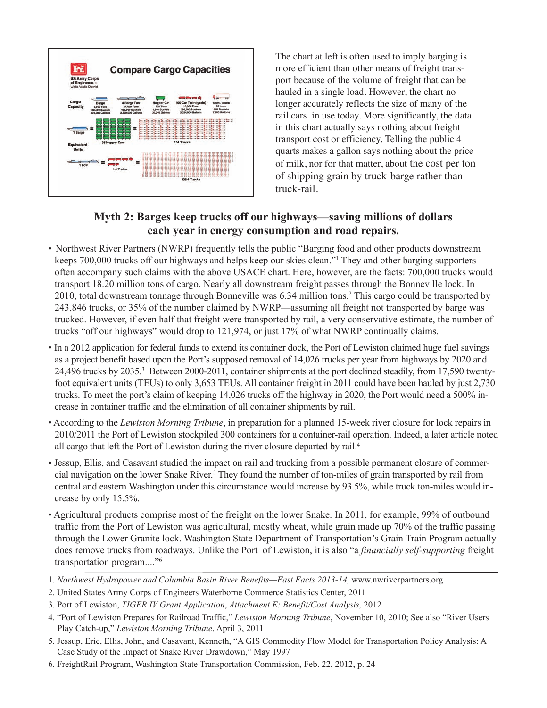

The chart at left is often used to imply barging is more efficient than other means of freight transport because of the volume of freight that can be hauled in a single load. However, the chart no longer accurately reflects the size of many of the rail cars in use today. More significantly, the data in this chart actually says nothing about freight transport cost or efficiency. Telling the public 4 quarts makes a gallon says nothing about the price of milk, nor for that matter, about the cost per ton of shipping grain by truck-barge rather than truck-rail.

### **Myth 2: Barges keep trucks off our highways—saving millions of dollars each year in energy consumption and road repairs.**

- Northwest River Partners (NWRP) frequently tells the public "Barging food and other products downstream keeps 700,000 trucks off our highways and helps keep our skies clean."1 They and other barging supporters often accompany such claims with the above USACE chart. Here, however, are the facts: 700,000 trucks would transport 18.20 million tons of cargo. Nearly all downstream freight passes through the Bonneville lock. In 2010, total downstream tonnage through Bonneville was 6.34 million tons.2 This cargo could be transported by 243,846 trucks, or 35% of the number claimed by NWRP—assuming all freight not transported by barge was trucked. However, if even half that freight were transported by rail, a very conservative estimate, the number of trucks "off our highways" would drop to 121,974, or just 17% of what NWRP continually claims.
- In a 2012 application for federal funds to extend its container dock, the Port of Lewiston claimed huge fuel savings as a project benefit based upon the Port's supposed removal of 14,026 trucks per year from highways by 2020 and 24,496 trucks by 2035.3 Between 2000-2011, container shipments at the port declined steadily, from 17,590 twentyfoot equivalent units (TEUs) to only 3,653 TEUs. All container freight in 2011 could have been hauled by just 2,730 trucks. To meet the port's claim of keeping 14,026 trucks off the highway in 2020, the Port would need a 500% increase in container traffic and the elimination of all container shipments by rail.
- According to the *Lewiston Morning Tribune*, in preparation for a planned 15-week river closure for lock repairs in 2010/2011 the Port of Lewiston stockpiled 300 containers for a container-rail operation. Indeed, a later article noted all cargo that left the Port of Lewiston during the river closure departed by rail.4
- Jessup, Ellis, and Casavant studied the impact on rail and trucking from a possible permanent closure of commercial navigation on the lower Snake River.5 They found the number of ton-miles of grain transported by rail from central and eastern Washington under this circumstance would increase by 93.5%, while truck ton-miles would increase by only 15.5%.
- Agricultural products comprise most of the freight on the lower Snake. In 2011, for example, 99% of outbound traffic from the Port of Lewiston was agricultural, mostly wheat, while grain made up 70% of the traffic passing through the Lower Granite lock. Washington State Department of Transportation's Grain Train Program actually does remove trucks from roadways. Unlike the Port of Lewiston, it is also "a *financially self-supporting* freight transportation program...."6
- 1. *Northwest Hydropower and Columbia Basin River Benefits—Fast Facts 2013-14, www.nwriverpartners.org*
- 2. United States Army Corps of Engineers Waterborne Commerce Statistics Center, 2011
- 3. Port of Lewiston, *TIGER IV Grant Application*, *Attachment E: Benefit/Cost Analysis,* 2012
- 4. "Port of Lewiston Prepares for Railroad Traffic," *Lewiston Morning Tribune*, November 10, 2010; See also "River Users Play Catch-up," *Lewiston Morning Tribune*, April 3, 2011
- 5. Jessup, Eric, Ellis, John, and Casavant, Kenneth, "A GIS Commodity Flow Model for Transportation Policy Analysis: A Case Study of the Impact of Snake River Drawdown," May 1997
- 6. FreightRail Program, Washington State Transportation Commission, Feb. 22, 2012, p. 24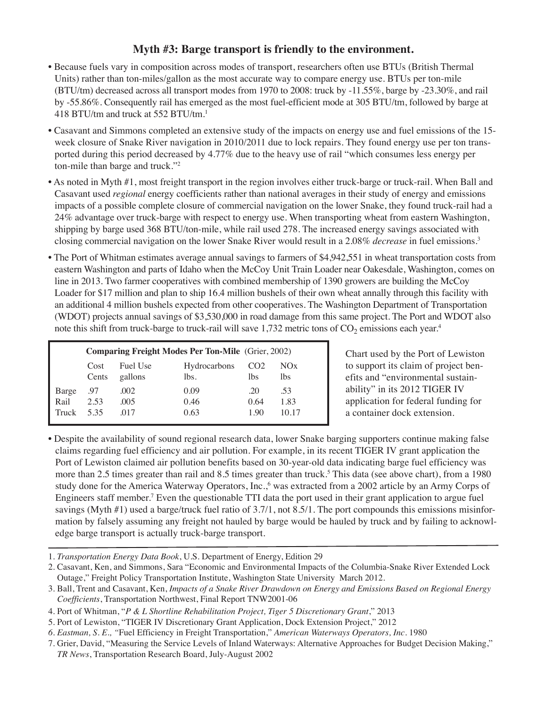#### **Myth #3: Barge transport is friendly to the environment.**

- Because fuels vary in composition across modes of transport, researchers often use BTUs (British Thermal Units) rather than ton-miles/gallon as the most accurate way to compare energy use. BTUs per ton-mile (BTU/tm) decreased across all transport modes from 1970 to 2008: truck by -11.55%, barge by -23.30%, and rail by -55.86%. Consequently rail has emerged as the most fuel-efficient mode at 305 BTU/tm, followed by barge at 418 BTU/tm and truck at 552 BTU/tm.1
- Casavant and Simmons completed an extensive study of the impacts on energy use and fuel emissions of the 15 week closure of Snake River navigation in 2010/2011 due to lock repairs. They found energy use per ton transported during this period decreased by 4.77% due to the heavy use of rail "which consumes less energy per ton-mile than barge and truck."2
- As noted in Myth #1, most freight transport in the region involves either truck-barge or truck-rail. When Ball and Casavant used *regional* energy coefficients rather than national averages in their study of energy and emissions impacts of a possible complete closure of commercial navigation on the lower Snake, they found truck-rail had a 24% advantage over truck-barge with respect to energy use. When transporting wheat from eastern Washington, shipping by barge used 368 BTU/ton-mile, while rail used 278. The increased energy savings associated with closing commercial navigation on the lower Snake River would result in a 2.08% *decrease* in fuel emissions.3
- The Port of Whitman estimates average annual savings to farmers of \$4,942,551 in wheat transportation costs from eastern Washington and parts of Idaho when the McCoy Unit Train Loader near Oakesdale, Washington, comes on line in 2013. Two farmer cooperatives with combined membership of 1390 growers are building the McCoy Loader for \$17 million and plan to ship 16.4 million bushels of their own wheat annally through this facility with an additional 4 million bushels expected from other cooperatives. The Washington Department of Transportation (WDOT) projects annual savings of \$3,530,000 in road damage from this same project. The Port and WDOT also note this shift from truck-barge to truck-rail will save  $1,732$  metric tons of  $CO<sub>2</sub>$  emissions each year.<sup>4</sup>

|       | <b>Comparing Freight Modes Per Ton-Mile</b> (Grier, 2002) |          |              |                 |       |
|-------|-----------------------------------------------------------|----------|--------------|-----------------|-------|
|       | Cost                                                      | Fuel Use | Hydrocarbons | CO <sub>2</sub> | NOx   |
|       | Cents                                                     | gallons  | lbs.         | lbs             | lbs   |
| Barge | .97                                                       | .002     | 0.09         | 20              | .53   |
| Rail  | 2.53                                                      | .005     | 0.46         | 0.64            | 1.83  |
| Truck | 535                                                       | 017      | 0.63         | 190             | 10 17 |

Chart used by the Port of Lewiston to support its claim of project benefits and "environmental sustainability" in its 2012 TIGER IV application for federal funding for a container dock extension.

- Despite the availability of sound regional research data, lower Snake barging supporters continue making false claims regarding fuel efficiency and air pollution. For example, in its recent TIGER IV grant application the Port of Lewiston claimed air pollution benefits based on 30-year-old data indicating barge fuel efficiency was more than 2.5 times greater than rail and 8.5 times greater than truck.<sup>5</sup> This data (see above chart), from a 1980 study done for the America Waterway Operators, Inc.,<sup>6</sup> was extracted from a 2002 article by an Army Corps of Engineers staff member.7 Even the questionable TTI data the port used in their grant application to argue fuel savings (Myth #1) used a barge/truck fuel ratio of 3.7/1, not 8.5/1. The port compounds this emissions misinformation by falsely assuming any freight not hauled by barge would be hauled by truck and by failing to acknowledge barge transport is actually truck-barge transport.
- 1. *Transportation Energy Data Book*, U.S. Department of Energy, Edition 29
- 2. Casavant, Ken, and Simmons, Sara "Economic and Environmental Impacts of the Columbia-Snake River Extended Lock Outage," Freight Policy Transportation Institute, Washington State University March 2012.
- 3. Ball, Trent and Casavant, Ken, *Impacts of a Snake River Drawdown on Energy and Emissions Based on Regional Energy Coefficients*, Transportation Northwest, Final Report TNW2001-06
- 4. Port of Whitman, "*P & L Shortline Rehabilitation Project, Tiger 5 Discretionary Grant*," 2013
- 5. Port of Lewiston, "TIGER IV Discretionary Grant Application, Dock Extension Project," 2012
- *6. Eastman, S. E., "*Fuel Efficiency in Freight Transportation," *American Waterways Operators, Inc*. 1980

<sup>7.</sup> Grier, David, "Measuring the Service Levels of Inland Waterways: Alternative Approaches for Budget Decision Making," *TR News*, Transportation Research Board, July-August 2002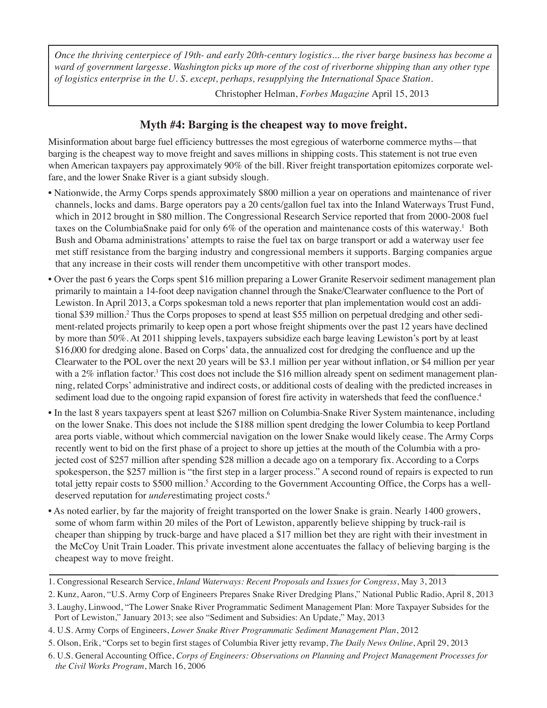*Once the thriving centerpiece of 19th- and early 20th-century logistics... the river barge business has become a ward of government largesse. Washington picks up more of the cost of riverborne shipping than any other type of logistics enterprise in the U. S. except, perhaps, resupplying the International Space Station.* 

Christopher Helman, *Forbes Magazine* April 15, 2013

#### **Myth #4: Barging is the cheapest way to move freight.**

Misinformation about barge fuel efficiency buttresses the most egregious of waterborne commerce myths—that barging is the cheapest way to move freight and saves millions in shipping costs. This statement is not true even when American taxpayers pay approximately 90% of the bill. River freight transportation epitomizes corporate welfare, and the lower Snake River is a giant subsidy slough.

- Nationwide, the Army Corps spends approximately \$800 million a year on operations and maintenance of river channels, locks and dams. Barge operators pay a 20 cents/gallon fuel tax into the Inland Waterways Trust Fund, which in 2012 brought in \$80 million. The Congressional Research Service reported that from 2000-2008 fuel taxes on the ColumbiaSnake paid for only 6% of the operation and maintenance costs of this waterway.<sup>1</sup> Both Bush and Obama administrations' attempts to raise the fuel tax on barge transport or add a waterway user fee met stiff resistance from the barging industry and congressional members it supports. Barging companies argue that any increase in their costs will render them uncompetitive with other transport modes.
- Over the past 6 years the Corps spent \$16 million preparing a Lower Granite Reservoir sediment management plan primarily to maintain a 14-foot deep navigation channel through the Snake/Clearwater confluence to the Port of Lewiston. In April 2013, a Corps spokesman told a news reporter that plan implementation would cost an additional \$39 million.2 Thus the Corps proposes to spend at least \$55 million on perpetual dredging and other sediment-related projects primarily to keep open a port whose freight shipments over the past 12 years have declined by more than 50%. At 2011 shipping levels, taxpayers subsidize each barge leaving Lewiston's port by at least \$16,000 for dredging alone. Based on Corps' data, the annualized cost for dredging the confluence and up the Clearwater to the POL over the next 20 years will be \$3.1 million per year without inflation, or \$4 million per year with a 2% inflation factor.<sup>3</sup> This cost does not include the \$16 million already spent on sediment management planning, related Corps' administrative and indirect costs, or additional costs of dealing with the predicted increases in sediment load due to the ongoing rapid expansion of forest fire activity in watersheds that feed the confluence.<sup>4</sup>
- In the last 8 years taxpayers spent at least \$267 million on Columbia-Snake River System maintenance, including on the lower Snake. This does not include the \$188 million spent dredging the lower Columbia to keep Portland area ports viable, without which commercial navigation on the lower Snake would likely cease. The Army Corps recently went to bid on the first phase of a project to shore up jetties at the mouth of the Columbia with a projected cost of \$257 million after spending \$28 million a decade ago on a temporary fix. According to a Corps spokesperson, the \$257 million is "the first step in a larger process." A second round of repairs is expected to run total jetty repair costs to \$500 million.<sup>5</sup> According to the Government Accounting Office, the Corps has a welldeserved reputation for *under*estimating project costs.6
- As noted earlier, by far the majority of freight transported on the lower Snake is grain. Nearly 1400 growers, some of whom farm within 20 miles of the Port of Lewiston, apparently believe shipping by truck-rail is cheaper than shipping by truck-barge and have placed a \$17 million bet they are right with their investment in the McCoy Unit Train Loader. This private investment alone accentuates the fallacy of believing barging is the cheapest way to move freight.

<sup>1.</sup> Congressional Research Service, *Inland Waterways: Recent Proposals and Issues for Congress*, May 3, 2013

<sup>2.</sup> Kunz, Aaron, "U.S. Army Corp of Engineers Prepares Snake River Dredging Plans," National Public Radio, April 8, 2013

<sup>3.</sup> Laughy, Linwood, "The Lower Snake River Programmatic Sediment Management Plan: More Taxpayer Subsides for the Port of Lewiston," January 2013; see also "Sediment and Subsidies: An Update," May, 2013

<sup>4.</sup> U.S. Army Corps of Engineers, *Lower Snake River Programmatic Sediment Management Plan*, 2012

<sup>5.</sup> Olson, Erik, "Corps set to begin first stages of Columbia River jetty revamp, *The Daily News Online*, April 29, 2013

<sup>6.</sup> U.S. General Accounting Office, *Corps of Engineers: Observations on Planning and Project Management Processes for the Civil Works Program*, March 16, 2006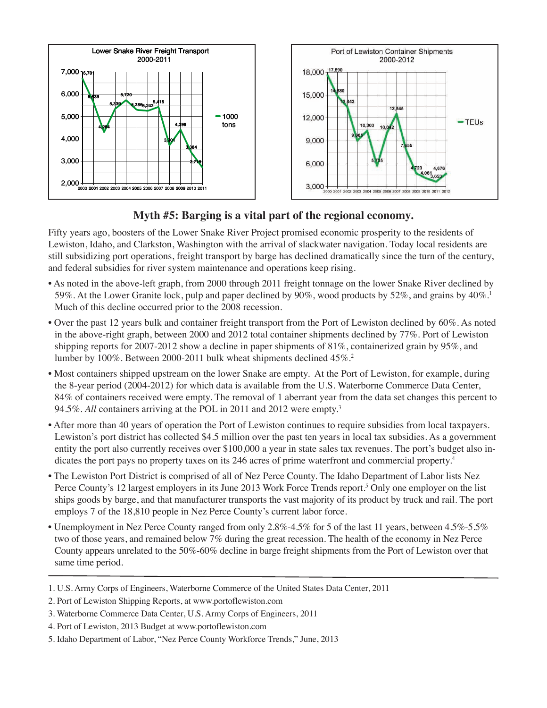

## **Myth #5: Barging is a vital part of the regional economy.**

Fifty years ago, boosters of the Lower Snake River Project promised economic prosperity to the residents of Lewiston, Idaho, and Clarkston, Washington with the arrival of slackwater navigation. Today local residents are still subsidizing port operations, freight transport by barge has declined dramatically since the turn of the century, and federal subsidies for river system maintenance and operations keep rising.

- As noted in the above-left graph, from 2000 through 2011 freight tonnage on the lower Snake River declined by 59%. At the Lower Granite lock, pulp and paper declined by 90%, wood products by 52%, and grains by 40%.1 Much of this decline occurred prior to the 2008 recession.
- Over the past 12 years bulk and container freight transport from the Port of Lewiston declined by 60%. As noted in the above-right graph, between 2000 and 2012 total container shipments declined by 77%. Port of Lewiston shipping reports for 2007-2012 show a decline in paper shipments of 81%, containerized grain by 95%, and lumber by 100%. Between 2000-2011 bulk wheat shipments declined 45%.2
- Most containers shipped upstream on the lower Snake are empty. At the Port of Lewiston, for example, during the 8-year period (2004-2012) for which data is available from the U.S. Waterborne Commerce Data Center, 84% of containers received were empty. The removal of 1 aberrant year from the data set changes this percent to 94.5%. *All* containers arriving at the POL in 2011 and 2012 were empty.3
- After more than 40 years of operation the Port of Lewiston continues to require subsidies from local taxpayers. Lewiston's port district has collected \$4.5 million over the past ten years in local tax subsidies. As a government entity the port also currently receives over \$100,000 a year in state sales tax revenues. The port's budget also indicates the port pays no property taxes on its 246 acres of prime waterfront and commercial property.4
- The Lewiston Port District is comprised of all of Nez Perce County. The Idaho Department of Labor lists Nez Perce County's 12 largest employers in its June 2013 Work Force Trends report.<sup>5</sup> Only one employer on the list ships goods by barge, and that manufacturer transports the vast majority of its product by truck and rail. The port employs 7 of the 18,810 people in Nez Perce County's current labor force.
- Unemployment in Nez Perce County ranged from only 2.8%-4.5% for 5 of the last 11 years, between 4.5%-5.5% two of those years, and remained below 7% during the great recession. The health of the economy in Nez Perce County appears unrelated to the 50%-60% decline in barge freight shipments from the Port of Lewiston over that same time period.

4. Port of Lewiston, 2013 Budget at www.portoflewiston.com

<sup>1.</sup> U.S. Army Corps of Engineers, Waterborne Commerce of the United States Data Center, 2011

<sup>2.</sup> Port of Lewiston Shipping Reports, at www.portoflewiston.com

<sup>3.</sup> Waterborne Commerce Data Center, U.S. Army Corps of Engineers, 2011

<sup>5.</sup> Idaho Department of Labor, "Nez Perce County Workforce Trends," June, 2013